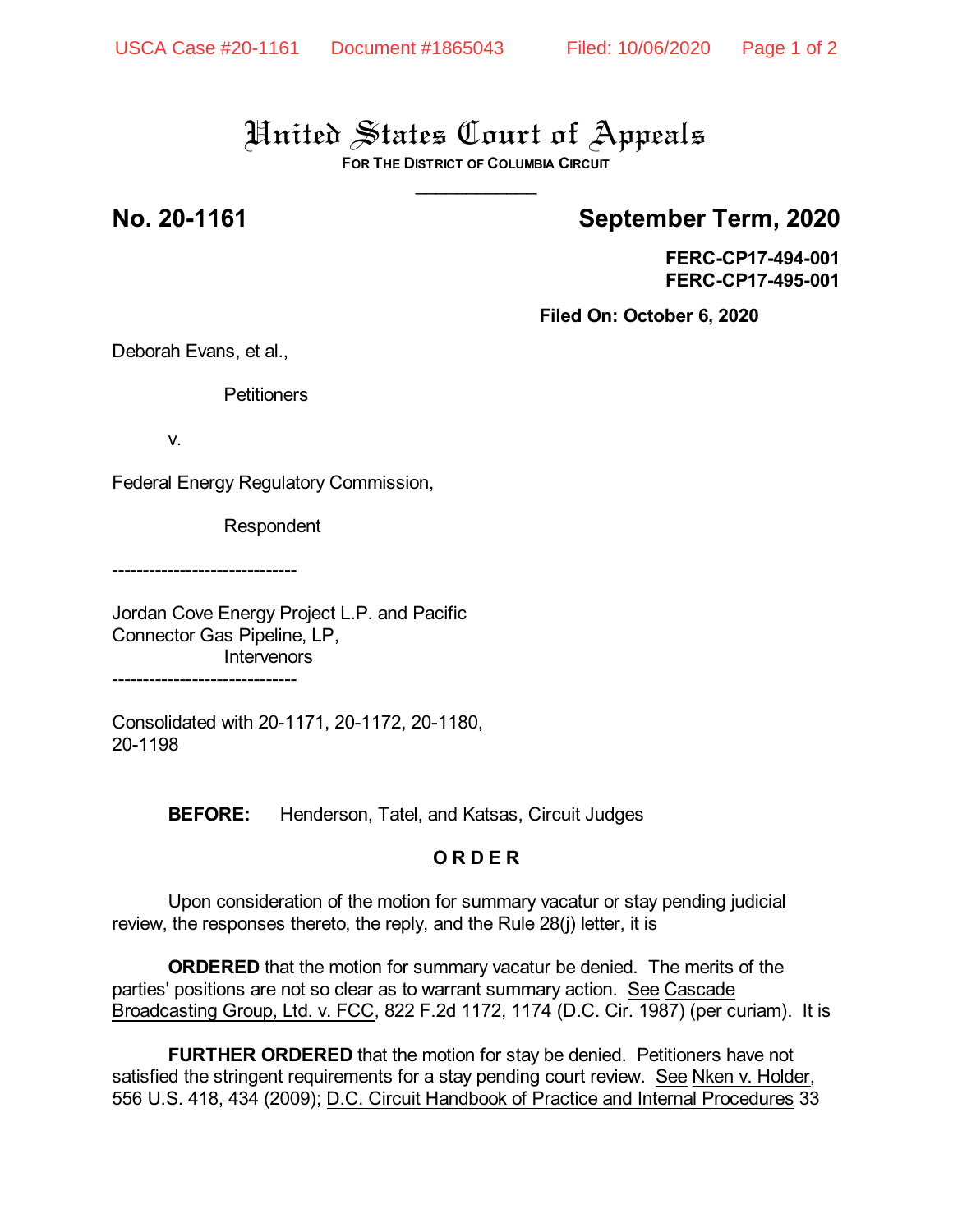## United States Court of Appeals

**FOR THE DISTRICT OF COLUMBIA CIRCUIT** \_\_\_\_\_\_\_\_\_\_\_\_

## **No. 20-1161 September Term, 2020**

**FERC-CP17-494-001 FERC-CP17-495-001**

**Filed On: October 6, 2020**

Deborah Evans, et al.,

**Petitioners** 

v.

Federal Energy Regulatory Commission,

Respondent

------------------------------

Jordan Cove Energy Project L.P. and Pacific Connector Gas Pipeline, LP, **Intervenors** ------------------------------

Consolidated with 20-1171, 20-1172, 20-1180, 20-1198

**BEFORE:** Henderson, Tatel, and Katsas, Circuit Judges

### **O R D E R**

Upon consideration of the motion for summary vacatur or stay pending judicial review, the responses thereto, the reply, and the Rule 28(j) letter, it is

**ORDERED** that the motion for summary vacatur be denied. The merits of the parties' positions are not so clear as to warrant summary action. See Cascade Broadcasting Group, Ltd. v. FCC, 822 F.2d 1172, 1174 (D.C. Cir. 1987) (per curiam). It is

**FURTHER ORDERED** that the motion for stay be denied. Petitioners have not satisfied the stringent requirements for a stay pending court review. See Nken v. Holder, 556 U.S. 418, 434 (2009); D.C. Circuit Handbook of Practice and Internal Procedures 33